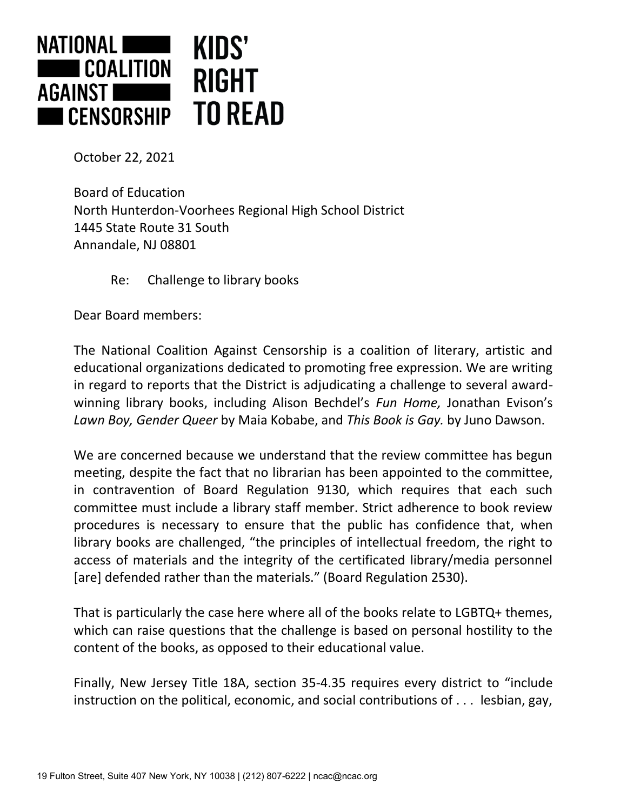

October 22, 2021

Board of Education North Hunterdon-Voorhees Regional High School District 1445 State Route 31 South Annandale, NJ 08801

Re: Challenge to library books

Dear Board members:

The National Coalition Against Censorship is a coalition of literary, artistic and educational organizations dedicated to promoting free expression. We are writing in regard to reports that the District is adjudicating a challenge to several awardwinning library books, including Alison Bechdel's *Fun Home,* Jonathan Evison's *Lawn Boy, Gender Queer* by Maia Kobabe, and *This Book is Gay.* by Juno Dawson.

We are concerned because we understand that the review committee has begun meeting, despite the fact that no librarian has been appointed to the committee, in contravention of Board Regulation 9130, which requires that each such committee must include a library staff member. Strict adherence to book review procedures is necessary to ensure that the public has confidence that, when library books are challenged, "the principles of intellectual freedom, the right to access of materials and the integrity of the certificated library/media personnel [are] defended rather than the materials." (Board Regulation 2530).

That is particularly the case here where all of the books relate to LGBTQ+ themes, which can raise questions that the challenge is based on personal hostility to the content of the books, as opposed to their educational value.

Finally, New Jersey Title 18A, section 35-4.35 requires every district to "include instruction on the political, economic, and social contributions of . . . lesbian, gay,